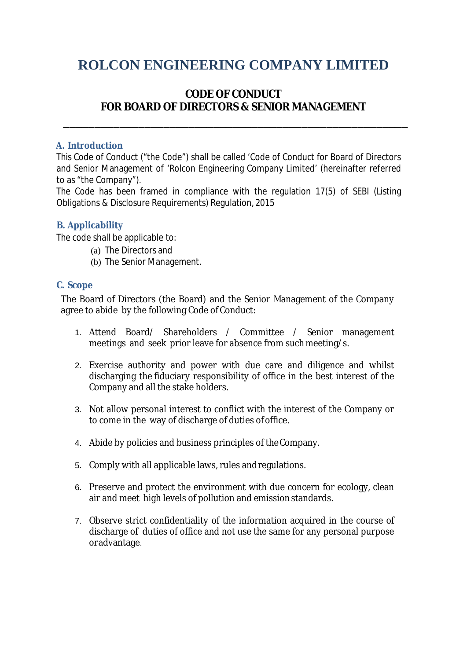# **ROLCON ENGINEERING COMPANY LIMITED**

# **CODE OF CONDUCT FOR BOARD OF DIRECTORS & SENIOR MANAGEMENT**

**\_\_\_\_\_\_\_\_\_\_\_\_\_\_\_\_\_\_\_\_\_\_\_\_\_\_\_\_\_\_\_\_\_\_\_\_\_\_\_\_\_\_\_\_\_\_\_\_\_\_\_\_\_\_\_**

#### **A. Introduction**

This Code of Conduct ("the Code") shall be called 'Code of Conduct for Board of Directors and Senior Management of 'Rolcon Engineering Company Limited' (hereinafter referred to as "the Company").

The Code has been framed in compliance with the regulation 17(5) of SEBI (Listing Obligations & Disclosure Requirements) Regulation, 2015

#### **B. Applicability**

The code shall be applicable to:

- (a) The Directors and
- (b) The Senior Management.

#### **C. Scope**

The Board of Directors (the Board) and the Senior Management of the Company agree to abide by the following Code of Conduct:

- 1. Attend Board/ Shareholders / Committee / Senior management meetings and seek prior leave for absence from such meeting/s.
- 2. Exercise authority and power with due care and diligence and whilst discharging the fiduciary responsibility of office in the best interest of the Company and all the stake holders.
- 3. Not allow personal interest to conflict with the interest of the Company or to come in the way of discharge of duties ofoffice.
- 4. Abide by policies and business principles of theCompany.
- 5. Comply with all applicable laws, rules andregulations.
- 6. Preserve and protect the environment with due concern for ecology, clean air and meet high levels of pollution and emissionstandards.
- 7. Observe strict confidentiality of the information acquired in the course of discharge of duties of office and not use the same for any personal purpose oradvantage.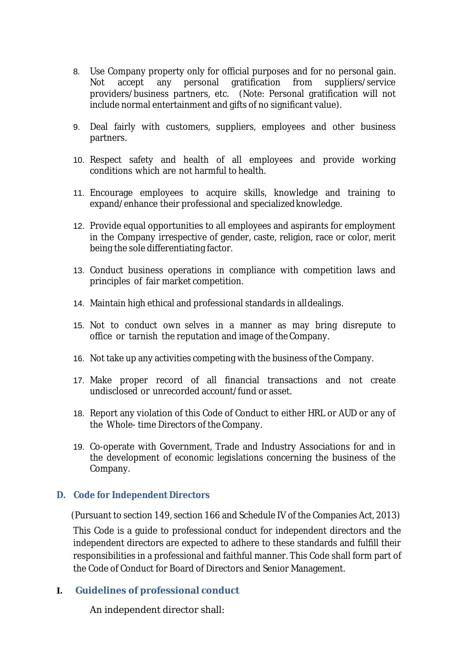- 8. Use Company property only for official purposes and for no personal gain. Not accept any personal gratification from suppliers/service providers/business partners, etc. (Note: Personal gratification will not include normal entertainment and gifts of no significant value).
- 9. Deal fairly with customers, suppliers, employees and other business partners.
- 10. Respect safety and health of all employees and provide working conditions which are not harmful to health.
- 11. Encourage employees to acquire skills, knowledge and training to expand/enhance their professional and specializedknowledge.
- 12. Provide equal opportunities to all employees and aspirants for employment in the Company irrespective of gender, caste, religion, race or color, merit being the sole differentiating factor.
- 13. Conduct business operations in compliance with competition laws and principles of fair market competition.
- 14. Maintain high ethical and professional standards in alldealings.
- 15. Not to conduct own selves in a manner as may bring disrepute to office or tarnish the reputation and image of the Company.
- 16. Not take up any activities competing with the business of the Company.
- 17. Make proper record of all financial transactions and not create undisclosed or unrecorded account/fund or asset.
- 18. Report any violation of this Code of Conduct to either HRL or AUD or any of the Whole- time Directors of the Company.
- 19. Co-operate with Government, Trade and Industry Associations for and in the development of economic legislations concerning the business of the Company.

#### **D. Code for Independent Directors**

 (Pursuant to section 149, section 166 and Schedule IV of the Companies Act, 2013) This Code is a guide to professional conduct for independent directors and the independent directors are expected to adhere to these standards and fulfill their responsibilities in a professional and faithful manner. This Code shall form part of the Code of Conduct for Board of Directors and Senior Management.

**I. Guidelines of professional conduct**

An independent director shall: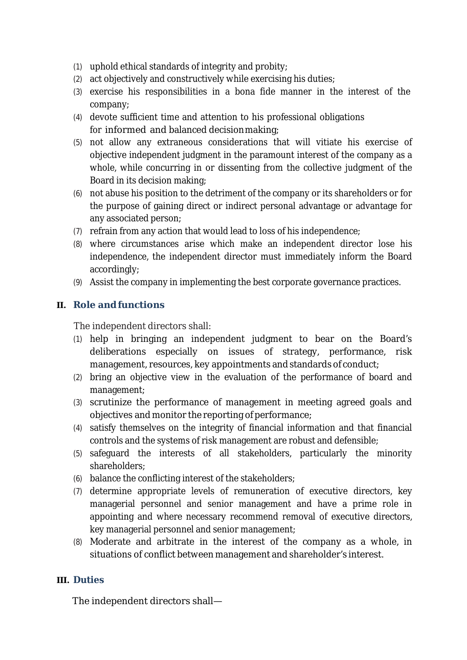- (1) uphold ethical standards of integrity and probity;
- (2) act objectively and constructively while exercising his duties;
- (3) exercise his responsibilities in a bona fide manner in the interest of the company;
- (4) devote sufficient time and attention to his professional obligations for informed and balanced decisionmaking;
- (5) not allow any extraneous considerations that will vitiate his exercise of objective independent judgment in the paramount interest of the company as a whole, while concurring in or dissenting from the collective judgment of the Board in its decision making;
- (6) not abuse his position to the detriment of the company or its shareholders or for the purpose of gaining direct or indirect personal advantage or advantage for any associated person;
- (7) refrain from any action that would lead to loss of his independence;
- (8) where circumstances arise which make an independent director lose his independence, the independent director must immediately inform the Board accordingly;
- (9) Assist the company in implementing the best corporate governance practices.

## **II. Role andfunctions**

The independent directors shall:

- (1) help in bringing an independent judgment to bear on the Board's deliberations especially on issues of strategy, performance, risk management, resources, key appointments and standards of conduct;
- (2) bring an objective view in the evaluation of the performance of board and management;
- (3) scrutinize the performance of management in meeting agreed goals and objectives and monitor the reporting of performance;
- (4) satisfy themselves on the integrity of financial information and that financial controls and the systems of risk management are robust and defensible;
- (5) safeguard the interests of all stakeholders, particularly the minority shareholders;
- (6) balance the conflicting interest of the stakeholders;
- (7) determine appropriate levels of remuneration of executive directors, key managerial personnel and senior management and have a prime role in appointing and where necessary recommend removal of executive directors, key managerial personnel and senior management;
- (8) Moderate and arbitrate in the interest of the company as a whole, in situations of conflict between management and shareholder's interest.

#### **III. Duties**

The independent directors shall—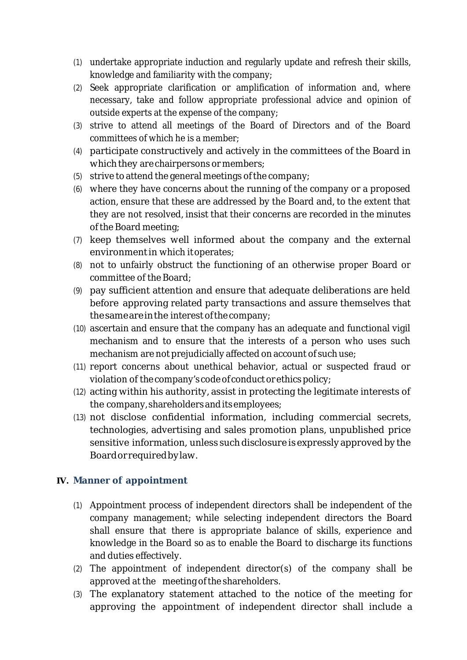- (1) undertake appropriate induction and regularly update and refresh their skills, knowledge and familiarity with the company;
- (2) Seek appropriate clarification or amplification of information and, where necessary, take and follow appropriate professional advice and opinion of outside experts at the expense of the company;
- (3) strive to attend all meetings of the Board of Directors and of the Board committees of which he is a member;
- (4) participate constructively and actively in the committees of the Board in which they are chairpersons or members;
- (5) strive to attend the general meetings of the company;
- (6) where they have concerns about the running of the company or a proposed action, ensure that these are addressed by the Board and, to the extent that they are not resolved, insist that their concerns are recorded in the minutes of the Board meeting;
- (7) keep themselves well informed about the company and the external environment in which it operates;
- (8) not to unfairly obstruct the functioning of an otherwise proper Board or committee of the Board;
- (9) pay sufficient attention and ensure that adequate deliberations are held before approving related party transactions and assure themselves that the same are in the interest of the company;
- (10) ascertain and ensure that the company has an adequate and functional vigil mechanism and to ensure that the interests of a person who uses such mechanism are not prejudicially affected on account of such use;
- (11) report concerns about unethical behavior, actual or suspected fraud or violation of the company's code of conduct or ethics policy;
- (12) acting within his authority, assist in protecting the legitimate interests of the company, shareholdersanditsemployees;
- (13) not disclose confidential information, including commercial secrets, technologies, advertising and sales promotion plans, unpublished price sensitive information, unless such disclosure is expressly approved by the Boardorrequiredbylaw.

#### **IV. Manner of appointment**

- (1) Appointment process of independent directors shall be independent of the company management; while selecting independent directors the Board shall ensure that there is appropriate balance of skills, experience and knowledge in the Board so as to enable the Board to discharge its functions and duties effectively.
- (2) The appointment of independent director(s) of the company shall be approved at the meeting of the shareholders.
- (3) The explanatory statement attached to the notice of the meeting for approving the appointment of independent director shall include a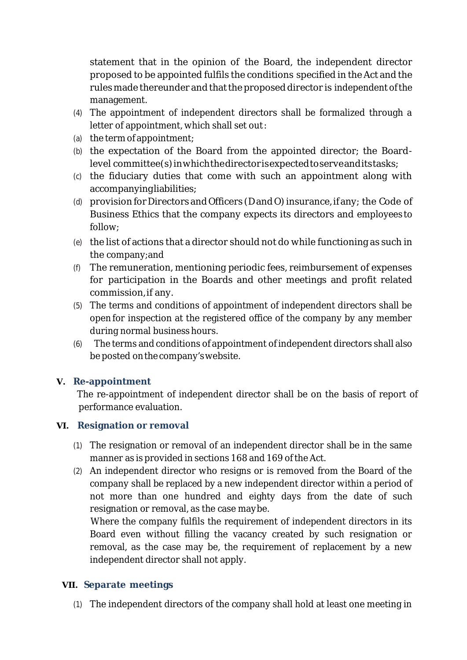statement that in the opinion of the Board, the independent director proposed to be appointed fulfils the conditions specified in theAct and the rules made thereunder and that the proposed director is independent of the management.

- (4) The appointment of independent directors shall be formalized through a letter of appointment, which shall set out:
- (a) the term of appointment;
- (b) the expectation of the Board from the appointed director; the Boardlevel committee(s)inwhichthedirectorisexpectedtoserveanditstasks;
- (c) the fiduciary duties that come with such an appointment along with accompanyingliabilities;
- (d) provision for Directors and Officers (D and O) insurance, if any; the Code of Business Ethics that the company expects its directors and employees to follow;
- (e) the list of actions that a director should not do while functioning as such in the company;and
- (f) The remuneration, mentioning periodic fees, reimbursement of expenses for participation in the Boards and other meetings and profit related commission,if any.
- (5) The terms and conditions of appointment of independent directors shall be open for inspection at the registered office of the company by any member during normal business hours.
- (6) The terms and conditions of appointment of independent directors shall also be posted onthe company'swebsite.

#### **V. Re-appointment**

The re-appointment of independent director shall be on the basis of report of performance evaluation.

#### **VI. Resignation or removal**

- (1) The resignation or removal of an independent director shall be in the same manner as is provided in sections 168 and 169 of the Act.
- (2) An independent director who resigns or is removed from the Board of the company shall be replaced by a new independent director within a period of not more than one hundred and eighty days from the date of such resignation or removal, as the case maybe.

 Where the company fulfils the requirement of independent directors in its Board even without filling the vacancy created by such resignation or removal, as the case may be, the requirement of replacement by a new independent director shall not apply.

#### **VII. Separate meetings**

(1) The independent directors of the company shall hold at least one meeting in